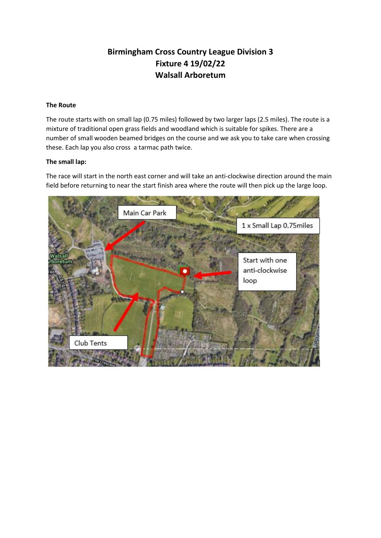## **Birmingham Cross Country League Division 3 Fixture 4 19/02/22 Walsall Arboretum**

## **The Route**

The route starts with on small lap (0.75 miles) followed by two larger laps (2.5 miles). The route is a mixture of traditional open grass fields and woodland which is suitable for spikes. There are a number of small wooden beamed bridges on the course and we ask you to take care when crossing these. Each lap you also cross a tarmac path twice.

## **The small lap:**

The race will start in the north east corner and will take an anti-clockwise direction around the main field before returning to near the start finish area where the route will then pick up the large loop.